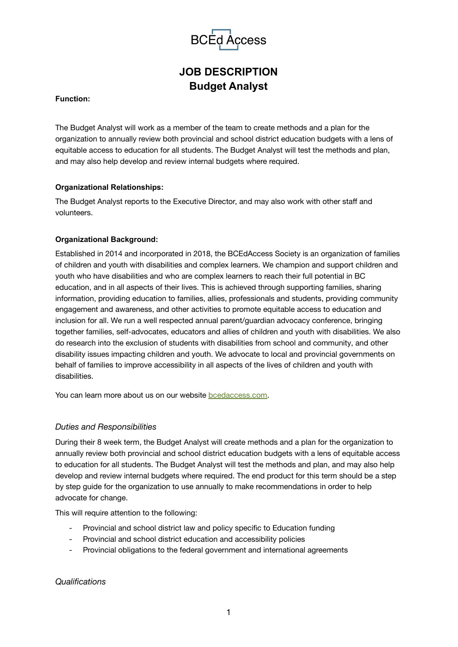

# **JOB DESCRIPTION Budget Analyst**

#### **Function:**

The Budget Analyst will work as a member of the team to create methods and a plan for the organization to annually review both provincial and school district education budgets with a lens of equitable access to education for all students. The Budget Analyst will test the methods and plan, and may also help develop and review internal budgets where required.

#### **Organizational Relationships:**

The Budget Analyst reports to the Executive Director, and may also work with other staff and volunteers.

#### **Organizational Background:**

Established in 2014 and incorporated in 2018, the BCEdAccess Society is an organization of families of children and youth with disabilities and complex learners. We champion and support children and youth who have disabilities and who are complex learners to reach their full potential in BC education, and in all aspects of their lives. This is achieved through supporting families, sharing information, providing education to families, allies, professionals and students, providing community engagement and awareness, and other activities to promote equitable access to education and inclusion for all. We run a well respected annual parent/guardian advocacy conference, bringing together families, self-advocates, educators and allies of children and youth with disabilities. We also do research into the exclusion of students with disabilities from school and community, and other disability issues impacting children and youth. We advocate to local and provincial governments on behalf of families to improve accessibility in all aspects of the lives of children and youth with disabilities.

You can learn more about us on our website **bcedaccess.com**.

# *Duties and Responsibilities*

During their 8 week term, the Budget Analyst will create methods and a plan for the organization to annually review both provincial and school district education budgets with a lens of equitable access to education for all students. The Budget Analyst will test the methods and plan, and may also help develop and review internal budgets where required. The end product for this term should be a step by step guide for the organization to use annually to make recommendations in order to help advocate for change.

This will require attention to the following:

- Provincial and school district law and policy specific to Education funding
- Provincial and school district education and accessibility policies
- Provincial obligations to the federal government and international agreements

# *Qualifications*